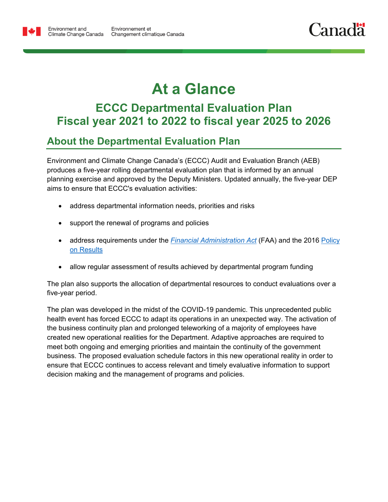

Environment and

# **At a Glance**

## **ECCC Departmental Evaluation Plan Fiscal year 2021 to 2022 to fiscal year 2025 to 2026**

## **About the Departmental Evaluation Plan**

Environment and Climate Change Canada's (ECCC) Audit and Evaluation Branch (AEB) produces a five-year rolling departmental evaluation plan that is informed by an annual planning exercise and approved by the Deputy Ministers. Updated annually, the five-year DEP aims to ensure that ECCC's evaluation activities:

- address departmental information needs, priorities and risks
- support the renewal of programs and policies
- address requirements under the **[Financial Administration Act](https://laws-lois.justice.gc.ca/eng/acts/F-11/page-5.html)** (FAA) and the 2016 Policy [on Results](https://www.tbs-sct.gc.ca/pol/doc-eng.aspx?id=31300)
- allow regular assessment of results achieved by departmental program funding

The plan also supports the allocation of departmental resources to conduct evaluations over a five-year period.

The plan was developed in the midst of the COVID-19 pandemic. This unprecedented public health event has forced ECCC to adapt its operations in an unexpected way. The activation of the business continuity plan and prolonged teleworking of a majority of employees have created new operational realities for the Department. Adaptive approaches are required to meet both ongoing and emerging priorities and maintain the continuity of the government business. The proposed evaluation schedule factors in this new operational reality in order to ensure that ECCC continues to access relevant and timely evaluative information to support decision making and the management of programs and policies.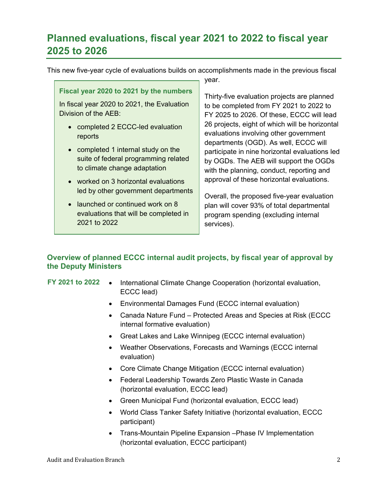## **Planned evaluations, fiscal year 2021 to 2022 to fiscal year 2025 to 2026**

This new five-year cycle of evaluations builds on accomplishments made in the previous fiscal

| year.                                                                                                                                                                                                                                                                                                                                                                                                                                                    |                                                                                                                                                                                                                                                                                                                                                                                                                                                                                                                                                                                                                 |
|----------------------------------------------------------------------------------------------------------------------------------------------------------------------------------------------------------------------------------------------------------------------------------------------------------------------------------------------------------------------------------------------------------------------------------------------------------|-----------------------------------------------------------------------------------------------------------------------------------------------------------------------------------------------------------------------------------------------------------------------------------------------------------------------------------------------------------------------------------------------------------------------------------------------------------------------------------------------------------------------------------------------------------------------------------------------------------------|
| Fiscal year 2020 to 2021 by the numbers<br>In fiscal year 2020 to 2021, the Evaluation<br>Division of the AEB:<br>completed 2 ECCC-led evaluation<br>reports<br>• completed 1 internal study on the<br>suite of federal programming related<br>to climate change adaptation<br>• worked on 3 horizontal evaluations<br>led by other government departments<br>• launched or continued work on 8<br>evaluations that will be completed in<br>2021 to 2022 | Thirty-five evaluation projects are planned<br>to be completed from FY 2021 to 2022 to<br>FY 2025 to 2026. Of these, ECCC will lead<br>26 projects, eight of which will be horizontal<br>evaluations involving other government<br>departments (OGD). As well, ECCC will<br>participate in nine horizontal evaluations led<br>by OGDs. The AEB will support the OGDs<br>with the planning, conduct, reporting and<br>approval of these horizontal evaluations.<br>Overall, the proposed five-year evaluation<br>plan will cover 93% of total departmental<br>program spending (excluding internal<br>services). |

### **Overview of planned ECCC internal audit projects, by fiscal year of approval by the Deputy Ministers**

- **FY 2021 to 2022** International Climate Change Cooperation (horizontal evaluation, ECCC lead)
	- Environmental Damages Fund (ECCC internal evaluation)
	- Canada Nature Fund Protected Areas and Species at Risk (ECCC internal formative evaluation)
	- Great Lakes and Lake Winnipeg (ECCC internal evaluation)
	- Weather Observations, Forecasts and Warnings (ECCC internal evaluation)
	- Core Climate Change Mitigation (ECCC internal evaluation)
	- Federal Leadership Towards Zero Plastic Waste in Canada (horizontal evaluation, ECCC lead)
	- Green Municipal Fund (horizontal evaluation, ECCC lead)
	- World Class Tanker Safety Initiative (horizontal evaluation, ECCC participant)
	- Trans-Mountain Pipeline Expansion –Phase IV Implementation (horizontal evaluation, ECCC participant)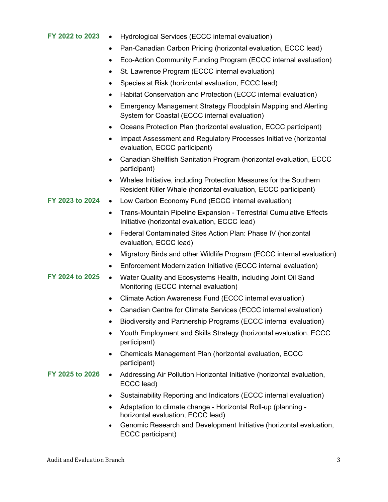#### **FY 2022 to 2023** • Hydrological Services (ECCC internal evaluation)

- Pan-Canadian Carbon Pricing (horizontal evaluation, ECCC lead)
- Eco-Action Community Funding Program (ECCC internal evaluation)
- St. Lawrence Program (ECCC internal evaluation)
- Species at Risk (horizontal evaluation, ECCC lead)
- Habitat Conservation and Protection (ECCC internal evaluation)
- Emergency Management Strategy Floodplain Mapping and Alerting System for Coastal (ECCC internal evaluation)
- Oceans Protection Plan (horizontal evaluation, ECCC participant)
- Impact Assessment and Regulatory Processes Initiative (horizontal evaluation, ECCC participant)
- Canadian Shellfish Sanitation Program (horizontal evaluation, ECCC participant)
- Whales Initiative, including Protection Measures for the Southern Resident Killer Whale (horizontal evaluation, ECCC participant)
- **FY 2023 to 2024** Low Carbon Economy Fund (ECCC internal evaluation)
	- Trans-Mountain Pipeline Expansion Terrestrial Cumulative Effects Initiative (horizontal evaluation, ECCC lead)
	- Federal Contaminated Sites Action Plan: Phase IV (horizontal evaluation, ECCC lead)
	- Migratory Birds and other Wildlife Program (ECCC internal evaluation)
	- Enforcement Modernization Initiative (ECCC internal evaluation)
- **FY 2024 to 2025** Water Quality and Ecosystems Health, including Joint Oil Sand Monitoring (ECCC internal evaluation)
	- Climate Action Awareness Fund (ECCC internal evaluation)
	- Canadian Centre for Climate Services (ECCC internal evaluation)
	- Biodiversity and Partnership Programs (ECCC internal evaluation)
	- Youth Employment and Skills Strategy (horizontal evaluation, ECCC participant)
	- Chemicals Management Plan (horizontal evaluation, ECCC participant)
- **FY 2025 to 2026** Addressing Air Pollution Horizontal Initiative (horizontal evaluation, ECCC lead)
	- Sustainability Reporting and Indicators (ECCC internal evaluation)
	- Adaptation to climate change Horizontal Roll-up (planning horizontal evaluation, ECCC lead)
	- Genomic Research and Development Initiative (horizontal evaluation, ECCC participant)